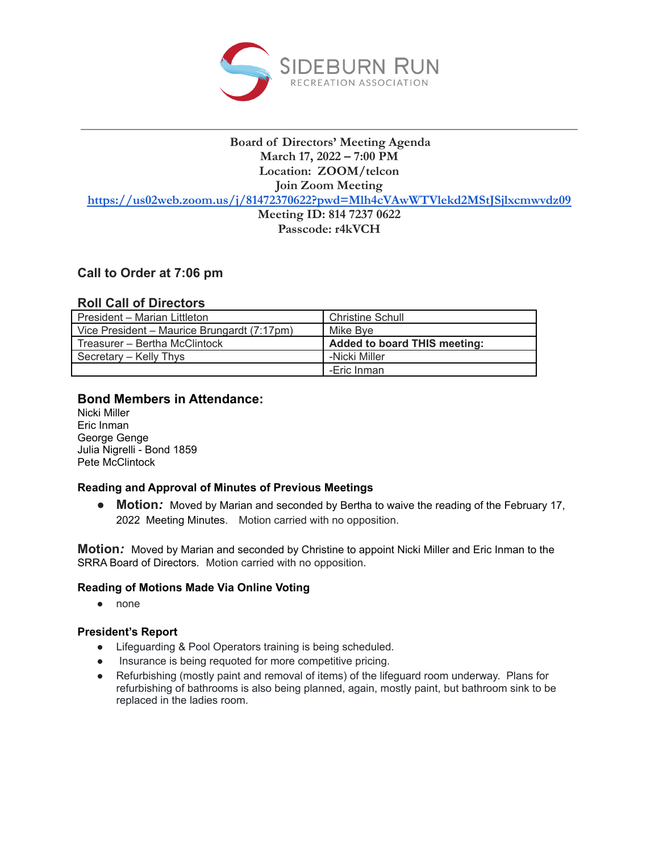

# **Board of Directors' Meeting Agenda March 17, 2022 – 7:00 PM Location: ZOOM/telcon Join Zoom Meeting**

**<https://us02web.zoom.us/j/81472370622?pwd=Mlh4cVAwWTVlekd2MStJSjlxcmwvdz09>**

**Meeting ID: 814 7237 0622 Passcode: r4kVCH**

# **Call to Order at 7:06 pm**

## **Roll Call of Directors**

| President - Marian Littleton                | <b>Christine Schull</b>             |
|---------------------------------------------|-------------------------------------|
| Vice President – Maurice Brungardt (7:17pm) | Mike Bve                            |
| Treasurer - Bertha McClintock               | <b>Added to board THIS meeting:</b> |
| Secretary – Kelly Thys                      | -Nicki Miller                       |
|                                             | -Eric Inman                         |

## **Bond Members in Attendance:**

Nicki Miller Eric Inman George Genge Julia Nigrelli - Bond 1859 Pete McClintock

## **Reading and Approval of Minutes of Previous Meetings**

● **Motion:** Moved by Marian and seconded by Bertha to waive the reading of the February 17, 2022 Meeting Minutes. Motion carried with no opposition.

**Motion***:* Moved by Marian and seconded by Christine to appoint Nicki Miller and Eric Inman to the SRRA Board of Directors. Motion carried with no opposition.

## **Reading of Motions Made Via Online Voting**

● none

## **President's Report**

- Lifeguarding & Pool Operators training is being scheduled.
- Insurance is being requoted for more competitive pricing.
- Refurbishing (mostly paint and removal of items) of the lifeguard room underway. Plans for refurbishing of bathrooms is also being planned, again, mostly paint, but bathroom sink to be replaced in the ladies room.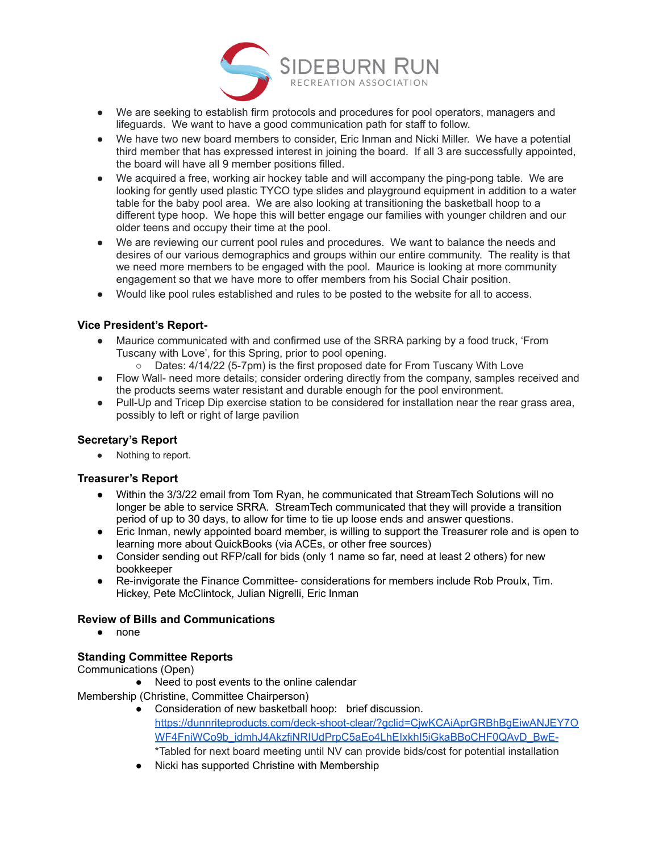

- We are seeking to establish firm protocols and procedures for pool operators, managers and lifeguards. We want to have a good communication path for staff to follow.
- We have two new board members to consider, Eric Inman and Nicki Miller. We have a potential third member that has expressed interest in joining the board. If all 3 are successfully appointed, the board will have all 9 member positions filled.
- We acquired a free, working air hockey table and will accompany the ping-pong table. We are looking for gently used plastic TYCO type slides and playground equipment in addition to a water table for the baby pool area. We are also looking at transitioning the basketball hoop to a different type hoop. We hope this will better engage our families with younger children and our older teens and occupy their time at the pool.
- We are reviewing our current pool rules and procedures. We want to balance the needs and desires of our various demographics and groups within our entire community. The reality is that we need more members to be engaged with the pool. Maurice is looking at more community engagement so that we have more to offer members from his Social Chair position.
- Would like pool rules established and rules to be posted to the website for all to access.

### **Vice President's Report-**

- Maurice communicated with and confirmed use of the SRRA parking by a food truck, 'From Tuscany with Love', for this Spring, prior to pool opening.
	- Dates: 4/14/22 (5-7pm) is the first proposed date for From Tuscany With Love
- Flow Wall- need more details; consider ordering directly from the company, samples received and the products seems water resistant and durable enough for the pool environment.
- Pull-Up and Tricep Dip exercise station to be considered for installation near the rear grass area, possibly to left or right of large pavilion

### **Secretary's Report**

● Nothing to report.

### **Treasurer's Report**

- Within the 3/3/22 email from Tom Ryan, he communicated that StreamTech Solutions will no longer be able to service SRRA. StreamTech communicated that they will provide a transition period of up to 30 days, to allow for time to tie up loose ends and answer questions.
- Eric Inman, newly appointed board member, is willing to support the Treasurer role and is open to learning more about QuickBooks (via ACEs, or other free sources)
- Consider sending out RFP/call for bids (only 1 name so far, need at least 2 others) for new bookkeeper
- Re-invigorate the Finance Committee- considerations for members include Rob Proulx, Tim. Hickey, Pete McClintock, Julian Nigrelli, Eric Inman

### **Review of Bills and Communications**

● none

### **Standing Committee Reports**

Communications (Open)

● Need to post events to the online calendar

Membership (Christine, Committee Chairperson)

- Consideration of new basketball hoop: brief discussion. [https://dunnriteproducts.com/deck-shoot-clear/?gclid=CjwKCAiAprGRBhBgEiwANJEY7O](https://dunnriteproducts.com/deck-shoot-clear/?gclid=CjwKCAiAprGRBhBgEiwANJEY7OWF4FniWCo9b_idmhJ4AkzfiNRIUdPrpC5aEo4LhEIxkhI5iGkaBBoCHF0QAvD_BwE-) [WF4FniWCo9b\\_idmhJ4AkzfiNRIUdPrpC5aEo4LhEIxkhI5iGkaBBoCHF0QAvD\\_BwE-](https://dunnriteproducts.com/deck-shoot-clear/?gclid=CjwKCAiAprGRBhBgEiwANJEY7OWF4FniWCo9b_idmhJ4AkzfiNRIUdPrpC5aEo4LhEIxkhI5iGkaBBoCHF0QAvD_BwE-) \*Tabled for next board meeting until NV can provide bids/cost for potential installation
- Nicki has supported Christine with Membership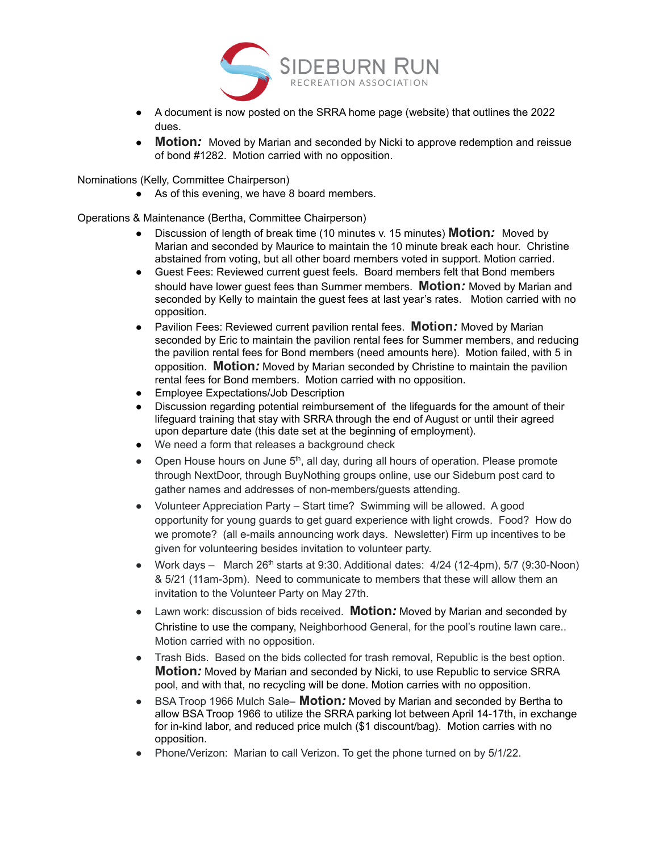

- A document is now posted on the SRRA home page (website) that outlines the 2022 dues.
- **Motion***:* Moved by Marian and seconded by Nicki to approve redemption and reissue of bond #1282. Motion carried with no opposition.

Nominations (Kelly, Committee Chairperson)

● As of this evening, we have 8 board members.

Operations & Maintenance (Bertha, Committee Chairperson)

- Discussion of length of break time (10 minutes v. 15 minutes) **Motion***:* Moved by Marian and seconded by Maurice to maintain the 10 minute break each hour. Christine abstained from voting, but all other board members voted in support. Motion carried.
- Guest Fees: Reviewed current guest feels. Board members felt that Bond members should have lower guest fees than Summer members. **Motion***:* Moved by Marian and seconded by Kelly to maintain the guest fees at last year's rates. Motion carried with no opposition.
- Pavilion Fees: Reviewed current pavilion rental fees. **Motion***:* Moved by Marian seconded by Eric to maintain the pavilion rental fees for Summer members, and reducing the pavilion rental fees for Bond members (need amounts here). Motion failed, with 5 in opposition. **Motion***:* Moved by Marian seconded by Christine to maintain the pavilion rental fees for Bond members. Motion carried with no opposition.
- Employee Expectations/Job Description
- Discussion regarding potential reimbursement of the lifeguards for the amount of their lifeguard training that stay with SRRA through the end of August or until their agreed upon departure date (this date set at the beginning of employment).
- We need a form that releases a background check
- Open House hours on June  $5<sup>th</sup>$ , all day, during all hours of operation. Please promote through NextDoor, through BuyNothing groups online, use our Sideburn post card to gather names and addresses of non-members/guests attending.
- Volunteer Appreciation Party Start time? Swimming will be allowed. A good opportunity for young guards to get guard experience with light crowds. Food? How do we promote? (all e-mails announcing work days. Newsletter) Firm up incentives to be given for volunteering besides invitation to volunteer party.
- Work days  $-$  March 26<sup>th</sup> starts at 9:30. Additional dates:  $4/24$  (12-4pm), 5/7 (9:30-Noon) & 5/21 (11am-3pm). Need to communicate to members that these will allow them an invitation to the Volunteer Party on May 27th.
- Lawn work: discussion of bids received. **Motion***:* Moved by Marian and seconded by Christine to use the company, Neighborhood General, for the pool's routine lawn care.. Motion carried with no opposition.
- Trash Bids. Based on the bids collected for trash removal, Republic is the best option. **Motion***:* Moved by Marian and seconded by Nicki, to use Republic to service SRRA pool, and with that, no recycling will be done. Motion carries with no opposition.
- BSA Troop 1966 Mulch Sale– **Motion***:* Moved by Marian and seconded by Bertha to allow BSA Troop 1966 to utilize the SRRA parking lot between April 14-17th, in exchange for in-kind labor, and reduced price mulch (\$1 discount/bag). Motion carries with no opposition.
- Phone/Verizon: Marian to call Verizon. To get the phone turned on by 5/1/22.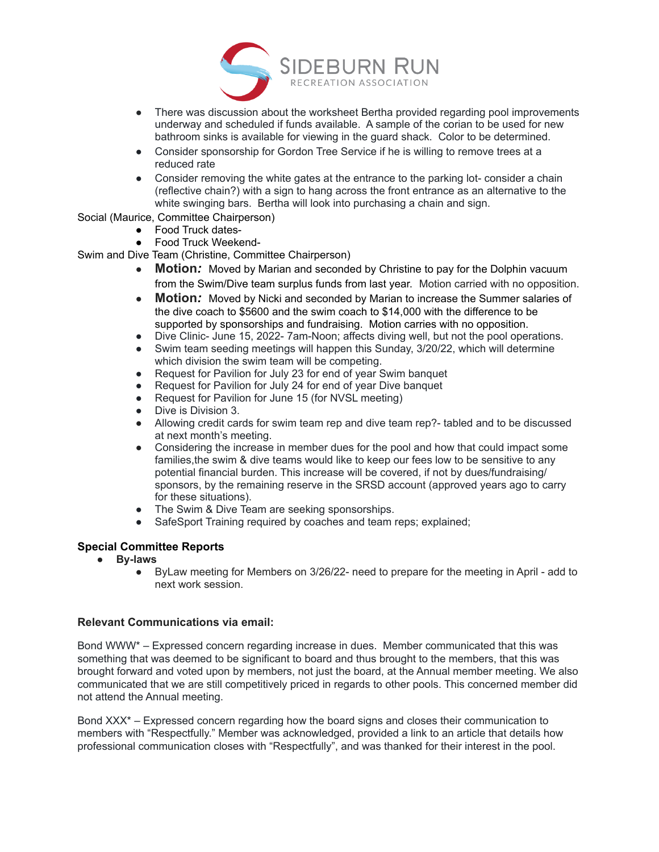

- There was discussion about the worksheet Bertha provided regarding pool improvements underway and scheduled if funds available. A sample of the corian to be used for new bathroom sinks is available for viewing in the guard shack. Color to be determined.
- Consider sponsorship for Gordon Tree Service if he is willing to remove trees at a reduced rate
- Consider removing the white gates at the entrance to the parking lot- consider a chain (reflective chain?) with a sign to hang across the front entrance as an alternative to the white swinging bars. Bertha will look into purchasing a chain and sign.

### Social (Maurice, Committee Chairperson)

- Food Truck dates-
- Food Truck Weekend-
- Swim and Dive Team (Christine, Committee Chairperson)
	- **Motion:** Moved by Marian and seconded by Christine to pay for the Dolphin vacuum from the Swim/Dive team surplus funds from last year. Motion carried with no opposition.
	- **Motion***:* Moved by Nicki and seconded by Marian to increase the Summer salaries of the dive coach to \$5600 and the swim coach to \$14,000 with the difference to be supported by sponsorships and fundraising. Motion carries with no opposition.
	- Dive Clinic- June 15, 2022- 7am-Noon; affects diving well, but not the pool operations.
	- Swim team seeding meetings will happen this Sunday, 3/20/22, which will determine which division the swim team will be competing.
	- Request for Pavilion for July 23 for end of year Swim banquet
	- Request for Pavilion for July 24 for end of year Dive banquet
	- Request for Pavilion for June 15 (for NVSL meeting)
	- Dive is Division 3.
	- Allowing credit cards for swim team rep and dive team rep?- tabled and to be discussed at next month's meeting.
	- Considering the increase in member dues for the pool and how that could impact some families,the swim & dive teams would like to keep our fees low to be sensitive to any potential financial burden. This increase will be covered, if not by dues/fundraising/ sponsors, by the remaining reserve in the SRSD account (approved years ago to carry for these situations).
	- The Swim & Dive Team are seeking sponsorships.
	- SafeSport Training required by coaches and team reps; explained;

## **Special Committee Reports**

- **● By-laws**
	- ByLaw meeting for Members on 3/26/22- need to prepare for the meeting in April add to next work session.

### **Relevant Communications via email:**

Bond WWW\* – Expressed concern regarding increase in dues. Member communicated that this was something that was deemed to be significant to board and thus brought to the members, that this was brought forward and voted upon by members, not just the board, at the Annual member meeting. We also communicated that we are still competitively priced in regards to other pools. This concerned member did not attend the Annual meeting.

Bond XXX\* – Expressed concern regarding how the board signs and closes their communication to members with "Respectfully." Member was acknowledged, provided a link to an article that details how professional communication closes with "Respectfully", and was thanked for their interest in the pool.